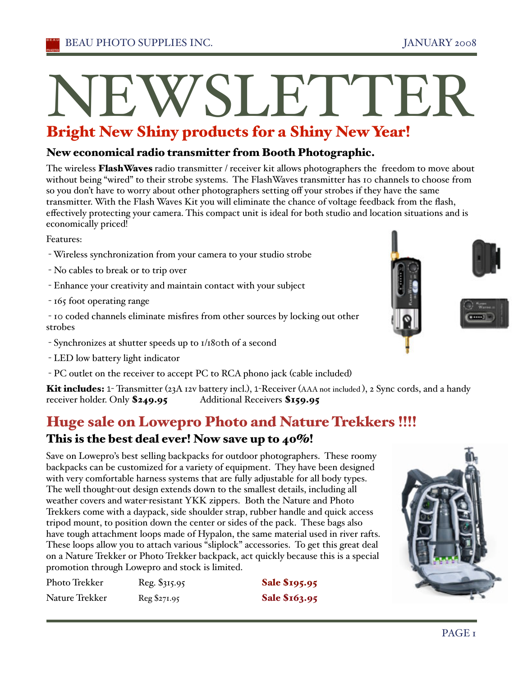### New economical radio transmitter from Booth Photographic.

The wireless Flash Waves radio transmitter / receiver kit allows photographers the freedom to move about without being "wired" to their strobe systems. The FlashWaves transmitter has 10 channels to choose from so you don't have to worry about other photographers setting off your strobes if they have the same transmitter. With the Flash Waves Kit you will eliminate the chance of voltage feedback from the flash, effectively protecting your camera. This compact unit is ideal for both studio and location situations and is economically priced!

Features:

- Wireless synchronization from your camera to your studio strobe
- No cables to break or to trip over
- Enhance your creativity and maintain contact with your subject
- 165 foot operating range

- 10 coded channels eliminate misfires from other sources by locking out other strobes

- Synchronizes at shutter speeds up to 1/180th of a second
- LED low battery light indicator
- PC outlet on the receiver to accept PC to RCA phono jack (cable included)

Kit includes: 1- Transmitter (23A 12v battery incl.), 1-Receiver (AAA not included), 2 Sync cords, and a handy receiver holder. Only \$249.95 Additional Receivers \$159.95

# Huge sale on Lowepro Photo and Nature Trekkers !!!!

## This is the best deal ever! Now save up to 40%!

Save on Lowepro's best selling backpacks for outdoor photographers. These roomy backpacks can be customized for a variety of equipment. They have been designed with very comfortable harness systems that are fully adjustable for all body types. The well thought-out design extends down to the smallest details, including all weather covers and water-resistant YKK zippers. Both the Nature and Photo Trekkers come with a daypack, side shoulder strap, rubber handle and quick access tripod mount, to position down the center or sides of the pack. These bags also have tough attachment loops made of Hypalon, the same material used in river rafts. These loops allow you to attach various "sliplock" accessories. To get this great deal on a Nature Trekker or Photo Trekker backpack, act quickly because this is a special promotion through Lowepro and stock is limited.

| Photo Trekker  | Reg. \$315.95 | <b>Sale \$195.95</b> |
|----------------|---------------|----------------------|
| Nature Trekker | Reg \$271.95  | Sale \$163.95        |





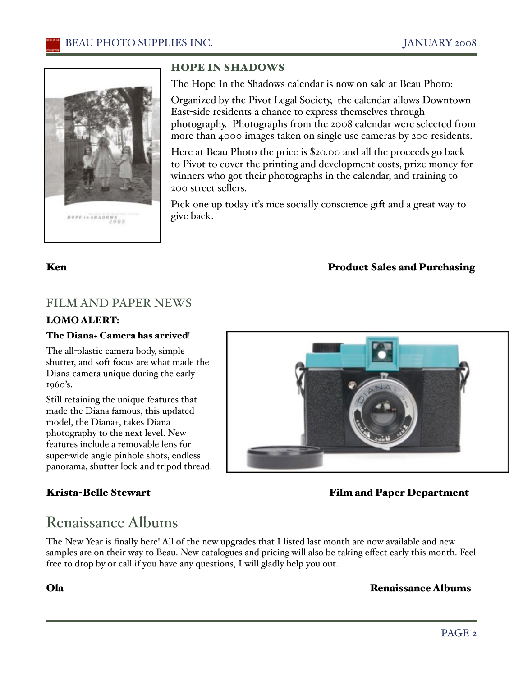

### HOPE IN SHADOWS

The Hope In the Shadows calendar is now on sale at Beau Photo:

Organized by the Pivot Legal Society, the calendar allows Downtown East-side residents a chance to express themselves through photography. Photographs from the 2008 calendar were selected from more than 4000 images taken on single use cameras by 200 residents.

Here at Beau Photo the price is \$20.00 and all the proceeds go back to Pivot to cover the printing and development costs, prize money for winners who got their photographs in the calendar, and training to 200 street sellers.

Pick one up today iťs nice socially conscience gift and a great way to give back.

### Ken **Product Sales and Purchasing**

### FILM AND PAPER NEWS

### LOMO ALERT:

### The Diana+ Camera has arrived!

The all-plastic camera body, simple shutter, and soft focus are what made the Diana camera unique during the early 1960's.

Still retaining the unique features that made the Diana famous, this updated model, the Diana+, takes Diana photography to the next level. New features include a removable lens for super-wide angle pinhole shots, endless panorama, shutter lock and tripod thread.



### Krista-Belle Stewart Film and Paper Department

# Renaissance Albums

The New Year is finally here! All of the new upgrades that I listed last month are now available and new samples are on their way to Beau. New catalogues and pricing will also be taking effect early this month. Feel free to drop by or call if you have any questions, I will gladly help you out.

### Ola Renaissance Albums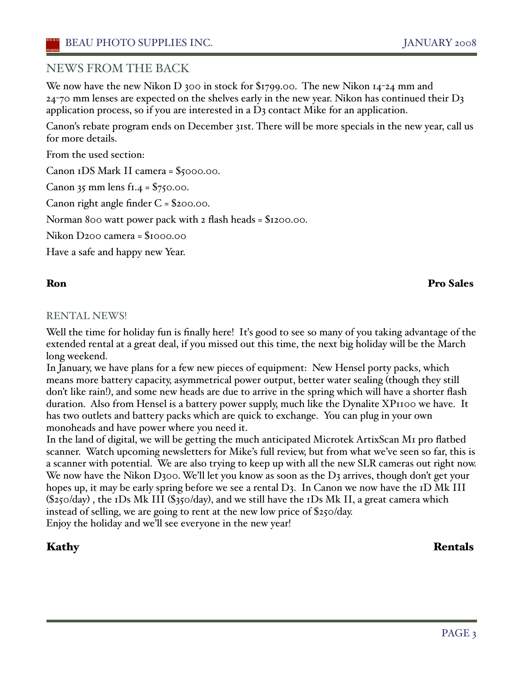### NEWS FROM THE BACK

We now have the new Nikon D 300 in stock for  $\frac{1}{9}$  1799.00. The new Nikon 14-24 mm and  $24$ -70 mm lenses are expected on the shelves early in the new year. Nikon has continued their  $D_3$ application process, so if you are interested in a D3 contact Mike for an application.

Canon's rebate program ends on December 31st. There will be more specials in the new year, call us for more details.

From the used section:

Canon 1DS Mark II camera = \$5000.00.

Canon 35 mm lens  $f1.4 = $750.00$ .

Canon right angle finder C = \$200.00.

Norman 800 watt power pack with 2 flash heads = \$1200.00.

Nikon D200 camera = \$1000.00

Have a safe and happy new Year.

### Ron Pro Sales

### RENTAL NEWS!

Well the time for holiday fun is finally here! It's good to see so many of you taking advantage of the extended rental at a great deal, if you missed out this time, the next big holiday will be the March long weekend.

In January, we have plans for a few new pieces of equipment: New Hensel porty packs, which means more battery capacity, asymmetrical power output, better water sealing (though they still don't like rain!), and some new heads are due to arrive in the spring which will have a shorter flash duration. Also from Hensel is a battery power supply, much like the Dynalite XP1100 we have. It has two outlets and battery packs which are quick to exchange. You can plug in your own monoheads and have power where you need it.

In the land of digital, we will be getting the much anticipated Microtek ArtixScan M1 pro flatbed scanner. Watch upcoming newsletters for Mike's full review, but from what we've seen so far, this is a scanner with potential. We are also trying to keep up with all the new SLR cameras out right now. We now have the Nikon D300. We'll let you know as soon as the D3 arrives, though don't get your hopes up, it may be early spring before we see a rental  $D_3$ . In Canon we now have the  $ID$  Mk III  $(\$250/day)$ , the IDs Mk III  $(\$350/day)$ , and we still have the IDs Mk II, a great camera which instead of selling, we are going to rent at the new low price of \$250/day. Enjoy the holiday and we'll see everyone in the new year!

### Kathy Rentals